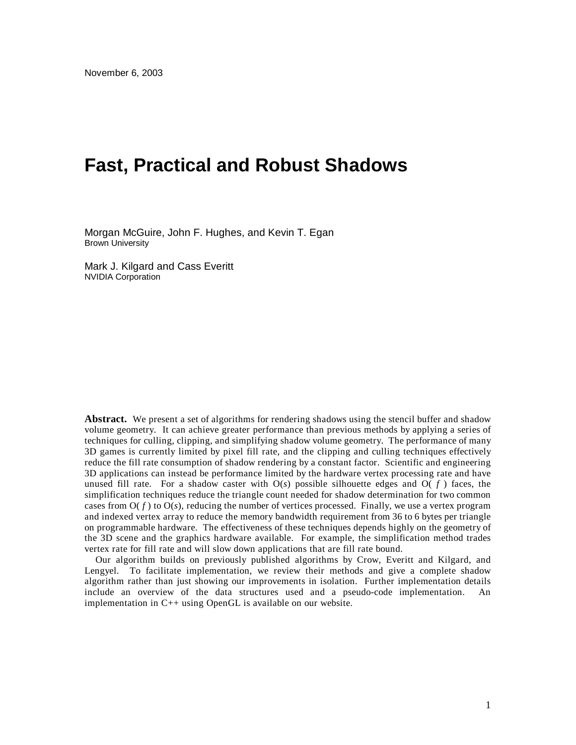# **Fast, Practical and Robust Shadows**

Morgan McGuire, John F. Hughes, and Kevin T. Egan Brown University

Mark J. Kilgard and Cass Everitt NVIDIA Corporation

**Abstract.** We present a set of algorithms for rendering shadows using the stencil buffer and shadow volume geometry. It can achieve greater performance than previous methods by applying a series of techniques for culling, clipping, and simplifying shadow volume geometry. The performance of many 3D games is currently limited by pixel fill rate, and the clipping and culling techniques effectively reduce the fill rate consumption of shadow rendering by a constant factor. Scientific and engineering 3D applications can instead be performance limited by the hardware vertex processing rate and have unused fill rate. For a shadow caster with  $O(s)$  possible silhouette edges and  $O(f)$  faces, the simplification techniques reduce the triangle count needed for shadow determination for two common cases from  $O(f)$  to  $O(s)$ , reducing the number of vertices processed. Finally, we use a vertex program and indexed vertex array to reduce the memory bandwidth requirement from 36 to 6 bytes per triangle on programmable hardware. The effectiveness of these techniques depends highly on the geometry of the 3D scene and the graphics hardware available. For example, the simplification method trades vertex rate for fill rate and will slow down applications that are fill rate bound.

Our algorithm builds on previously published algorithms by Crow, Everitt and Kilgard, and Lengyel. To facilitate implementation, we review their methods and give a complete shadow algorithm rather than just showing our improvements in isolation. Further implementation details include an overview of the data structures used and a pseudo-code implementation. An implementation in C++ using OpenGL is available on our website.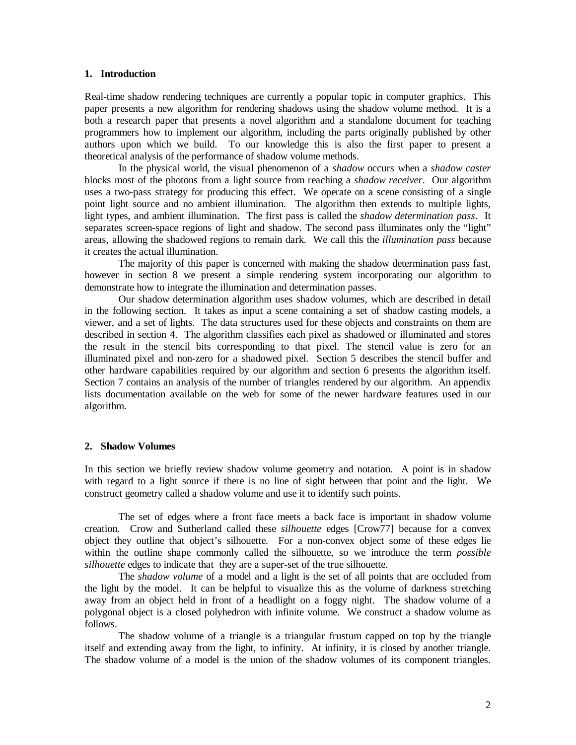#### **1. Introduction**

Real-time shadow rendering techniques are currently a popular topic in computer graphics. This paper presents a new algorithm for rendering shadows using the shadow volume method. It is a both a research paper that presents a novel algorithm and a standalone document for teaching programmers how to implement our algorithm, including the parts originally published by other authors upon which we build. To our knowledge this is also the first paper to present a theoretical analysis of the performance of shadow volume methods.

In the physical world, the visual phenomenon of a *shadow* occurs when a *shadow caster* blocks most of the photons from a light source from reaching a *shadow receiver*. Our algorithm uses a two-pass strategy for producing this effect. We operate on a scene consisting of a single point light source and no ambient illumination. The algorithm then extends to multiple lights, light types, and ambient illumination. The first pass is called the *shadow determination pass*. It separates screen-space regions of light and shadow. The second pass illuminates only the "light" areas, allowing the shadowed regions to remain dark. We call this the *illumination pass* because it creates the actual illumination.

The majority of this paper is concerned with making the shadow determination pass fast, however in section 8 we present a simple rendering system incorporating our algorithm to demonstrate how to integrate the illumination and determination passes.

Our shadow determination algorithm uses shadow volumes, which are described in detail in the following section. It takes as input a scene containing a set of shadow casting models, a viewer, and a set of lights. The data structures used for these objects and constraints on them are described in section 4. The algorithm classifies each pixel as shadowed or illuminated and stores the result in the stencil bits corresponding to that pixel. The stencil value is zero for an illuminated pixel and non-zero for a shadowed pixel. Section 5 describes the stencil buffer and other hardware capabilities required by our algorithm and section 6 presents the algorithm itself. Section 7 contains an analysis of the number of triangles rendered by our algorithm. An appendix lists documentation available on the web for some of the newer hardware features used in our algorithm.

## **2. Shadow Volumes**

In this section we briefly review shadow volume geometry and notation. A point is in shadow with regard to a light source if there is no line of sight between that point and the light. We construct geometry called a shadow volume and use it to identify such points.

The set of edges where a front face meets a back face is important in shadow volume creation. Crow and Sutherland called these *silhouette* edges [Crow77] because for a convex object they outline that object's silhouette. For a non-convex object some of these edges lie within the outline shape commonly called the silhouette, so we introduce the term *possible silhouette* edges to indicate that they are a super-set of the true silhouette.

The *shadow volume* of a model and a light is the set of all points that are occluded from the light by the model. It can be helpful to visualize this as the volume of darkness stretching away from an object held in front of a headlight on a foggy night. The shadow volume of a polygonal object is a closed polyhedron with infinite volume. We construct a shadow volume as follows.

The shadow volume of a triangle is a triangular frustum capped on top by the triangle itself and extending away from the light, to infinity. At infinity, it is closed by another triangle. The shadow volume of a model is the union of the shadow volumes of its component triangles.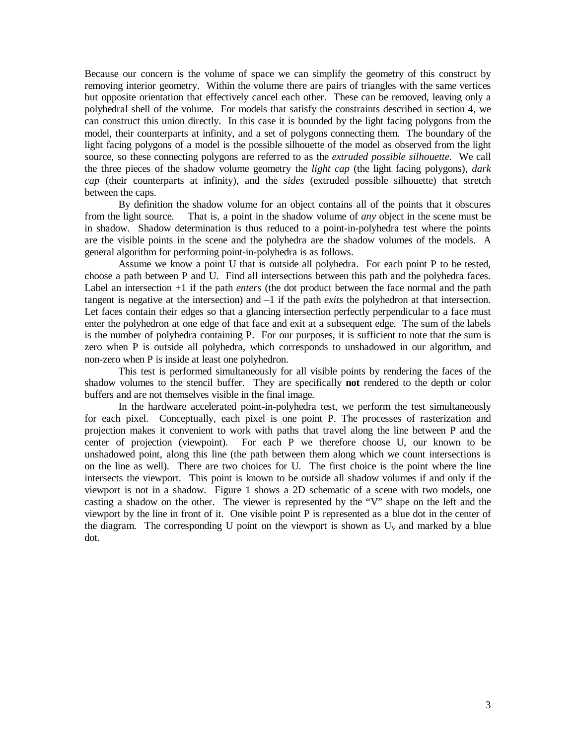Because our concern is the volume of space we can simplify the geometry of this construct by removing interior geometry. Within the volume there are pairs of triangles with the same vertices but opposite orientation that effectively cancel each other. These can be removed, leaving only a polyhedral shell of the volume. For models that satisfy the constraints described in section 4, we can construct this union directly. In this case it is bounded by the light facing polygons from the model, their counterparts at infinity, and a set of polygons connecting them. The boundary of the light facing polygons of a model is the possible silhouette of the model as observed from the light source, so these connecting polygons are referred to as the *extruded possible silhouette*. We call the three pieces of the shadow volume geometry the *light cap* (the light facing polygons), *dark cap* (their counterparts at infinity), and the *sides* (extruded possible silhouette) that stretch between the caps.

By definition the shadow volume for an object contains all of the points that it obscures from the light source. That is, a point in the shadow volume of *any* object in the scene must be in shadow. Shadow determination is thus reduced to a point-in-polyhedra test where the points are the visible points in the scene and the polyhedra are the shadow volumes of the models. A general algorithm for performing point-in-polyhedra is as follows.

Assume we know a point U that is outside all polyhedra. For each point P to be tested, choose a path between P and U. Find all intersections between this path and the polyhedra faces. Label an intersection +1 if the path *enters* (the dot product between the face normal and the path tangent is negative at the intersection) and –1 if the path *exits* the polyhedron at that intersection. Let faces contain their edges so that a glancing intersection perfectly perpendicular to a face must enter the polyhedron at one edge of that face and exit at a subsequent edge. The sum of the labels is the number of polyhedra containing P. For our purposes, it is sufficient to note that the sum is zero when P is outside all polyhedra, which corresponds to unshadowed in our algorithm, and non-zero when P is inside at least one polyhedron.

This test is performed simultaneously for all visible points by rendering the faces of the shadow volumes to the stencil buffer. They are specifically **not** rendered to the depth or color buffers and are not themselves visible in the final image.

In the hardware accelerated point-in-polyhedra test, we perform the test simultaneously for each pixel. Conceptually, each pixel is one point P. The processes of rasterization and projection makes it convenient to work with paths that travel along the line between P and the center of projection (viewpoint). For each P we therefore choose U, our known to be unshadowed point, along this line (the path between them along which we count intersections is on the line as well). There are two choices for U. The first choice is the point where the line intersects the viewport. This point is known to be outside all shadow volumes if and only if the viewport is not in a shadow. Figure 1 shows a 2D schematic of a scene with two models, one casting a shadow on the other. The viewer is represented by the "V" shape on the left and the viewport by the line in front of it. One visible point P is represented as a blue dot in the center of the diagram. The corresponding U point on the viewport is shown as  $U_V$  and marked by a blue dot.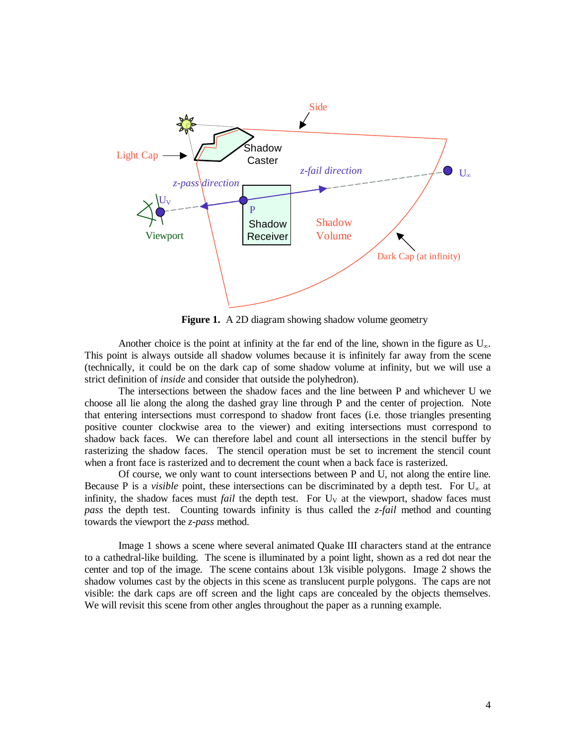

**Figure 1.** A 2D diagram showing shadow volume geometry

Another choice is the point at infinity at the far end of the line, shown in the figure as  $U_{\infty}$ . This point is always outside all shadow volumes because it is infinitely far away from the scene (technically, it could be on the dark cap of some shadow volume at infinity, but we will use a strict definition of *inside* and consider that outside the polyhedron).

The intersections between the shadow faces and the line between P and whichever U we choose all lie along the along the dashed gray line through P and the center of projection. Note that entering intersections must correspond to shadow front faces (i.e. those triangles presenting positive counter clockwise area to the viewer) and exiting intersections must correspond to shadow back faces. We can therefore label and count all intersections in the stencil buffer by rasterizing the shadow faces. The stencil operation must be set to increment the stencil count when a front face is rasterized and to decrement the count when a back face is rasterized.

Of course, we only want to count intersections between P and U, not along the entire line. Because P is a *visible* point, these intersections can be discriminated by a depth test. For  $U_{\alpha}$  at infinity, the shadow faces must *fail* the depth test. For  $U_V$  at the viewport, shadow faces must *pass* the depth test. Counting towards infinity is thus called the *z-fail* method and counting towards the viewport the *z-pass* method.

Image 1 shows a scene where several animated Quake III characters stand at the entrance to a cathedral-like building. The scene is illuminated by a point light, shown as a red dot near the center and top of the image. The scene contains about 13k visible polygons. Image 2 shows the shadow volumes cast by the objects in this scene as translucent purple polygons. The caps are not visible: the dark caps are off screen and the light caps are concealed by the objects themselves. We will revisit this scene from other angles throughout the paper as a running example.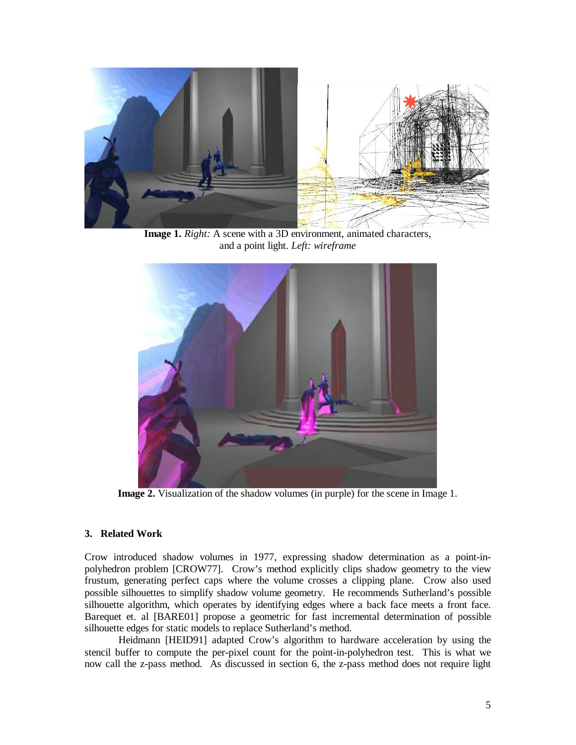

**Image 1.** *Right:* A scene with a 3D environment, animated characters, and a point light. *Left: wireframe*



**Image 2.** Visualization of the shadow volumes (in purple) for the scene in Image 1.

## **3. Related Work**

Crow introduced shadow volumes in 1977, expressing shadow determination as a point-inpolyhedron problem [CROW77]. Crow's method explicitly clips shadow geometry to the view frustum, generating perfect caps where the volume crosses a clipping plane. Crow also used possible silhouettes to simplify shadow volume geometry. He recommends Sutherland's possible silhouette algorithm, which operates by identifying edges where a back face meets a front face. Barequet et. al [BARE01] propose a geometric for fast incremental determination of possible silhouette edges for static models to replace Sutherland's method.

Heidmann [HEID91] adapted Crow's algorithm to hardware acceleration by using the stencil buffer to compute the per-pixel count for the point-in-polyhedron test. This is what we now call the z-pass method. As discussed in section 6, the z-pass method does not require light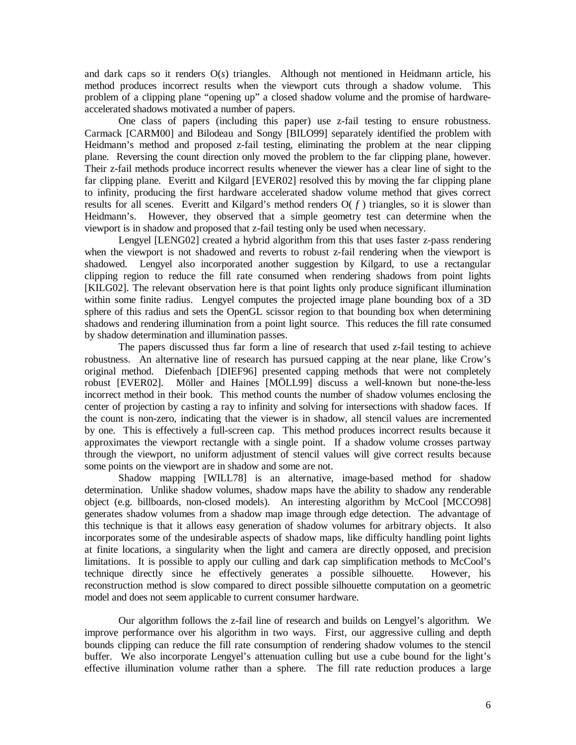and dark caps so it renders O(*s*) triangles. Although not mentioned in Heidmann article, his method produces incorrect results when the viewport cuts through a shadow volume. This problem of a clipping plane "opening up" a closed shadow volume and the promise of hardwareaccelerated shadows motivated a number of papers.

One class of papers (including this paper) use z-fail testing to ensure robustness. Carmack [CARM00] and Bilodeau and Songy [BILO99] separately identified the problem with Heidmann's method and proposed z-fail testing, eliminating the problem at the near clipping plane. Reversing the count direction only moved the problem to the far clipping plane, however. Their z-fail methods produce incorrect results whenever the viewer has a clear line of sight to the far clipping plane. Everitt and Kilgard [EVER02] resolved this by moving the far clipping plane to infinity, producing the first hardware accelerated shadow volume method that gives correct results for all scenes. Everitt and Kilgard's method renders  $O(f)$  triangles, so it is slower than Heidmann's. However, they observed that a simple geometry test can determine when the viewport is in shadow and proposed that z-fail testing only be used when necessary.

Lengyel [LENG02] created a hybrid algorithm from this that uses faster z-pass rendering when the viewport is not shadowed and reverts to robust z-fail rendering when the viewport is shadowed. Lengyel also incorporated another suggestion by Kilgard, to use a rectangular clipping region to reduce the fill rate consumed when rendering shadows from point lights [KILG02]. The relevant observation here is that point lights only produce significant illumination within some finite radius. Lengyel computes the projected image plane bounding box of a 3D sphere of this radius and sets the OpenGL scissor region to that bounding box when determining shadows and rendering illumination from a point light source. This reduces the fill rate consumed by shadow determination and illumination passes.

The papers discussed thus far form a line of research that used z-fail testing to achieve robustness. An alternative line of research has pursued capping at the near plane, like Crow's original method. Diefenbach [DIEF96] presented capping methods that were not completely robust [EVER02]. Möller and Haines [MÖLL99] discuss a well-known but none-the-less incorrect method in their book. This method counts the number of shadow volumes enclosing the center of projection by casting a ray to infinity and solving for intersections with shadow faces. If the count is non-zero, indicating that the viewer is in shadow, all stencil values are incremented by one. This is effectively a full-screen cap. This method produces incorrect results because it approximates the viewport rectangle with a single point. If a shadow volume crosses partway through the viewport, no uniform adjustment of stencil values will give correct results because some points on the viewport are in shadow and some are not.

Shadow mapping [WILL78] is an alternative, image-based method for shadow determination. Unlike shadow volumes, shadow maps have the ability to shadow any renderable object (e.g. billboards, non-closed models). An interesting algorithm by McCool [MCCO98] generates shadow volumes from a shadow map image through edge detection. The advantage of this technique is that it allows easy generation of shadow volumes for arbitrary objects. It also incorporates some of the undesirable aspects of shadow maps, like difficulty handling point lights at finite locations, a singularity when the light and camera are directly opposed, and precision limitations. It is possible to apply our culling and dark cap simplification methods to McCool's technique directly since he effectively generates a possible silhouette. However, his reconstruction method is slow compared to direct possible silhouette computation on a geometric model and does not seem applicable to current consumer hardware.

Our algorithm follows the z-fail line of research and builds on Lengyel's algorithm. We improve performance over his algorithm in two ways. First, our aggressive culling and depth bounds clipping can reduce the fill rate consumption of rendering shadow volumes to the stencil buffer. We also incorporate Lengyel's attenuation culling but use a cube bound for the light's effective illumination volume rather than a sphere. The fill rate reduction produces a large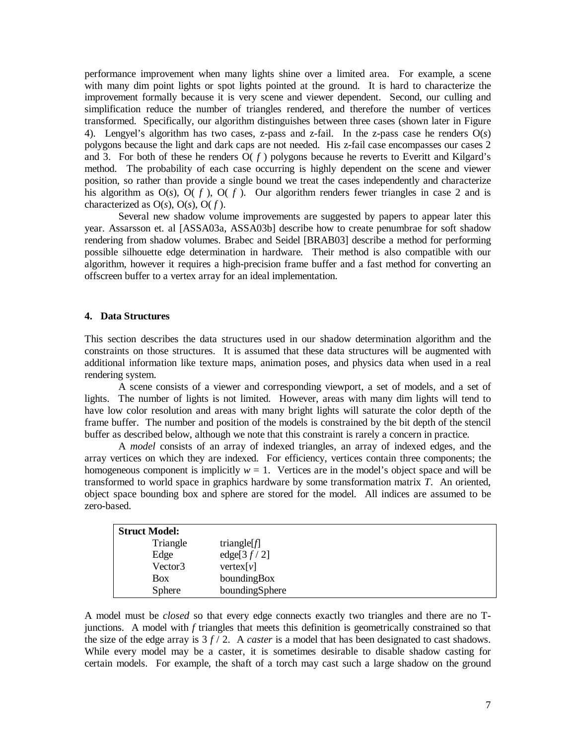performance improvement when many lights shine over a limited area. For example, a scene with many dim point lights or spot lights pointed at the ground. It is hard to characterize the improvement formally because it is very scene and viewer dependent. Second, our culling and simplification reduce the number of triangles rendered, and therefore the number of vertices transformed. Specifically, our algorithm distinguishes between three cases (shown later in Figure 4). Lengyel's algorithm has two cases, z-pass and z-fail. In the z-pass case he renders  $O(s)$ polygons because the light and dark caps are not needed. His z-fail case encompasses our cases 2 and 3. For both of these he renders  $O(f)$  polygons because he reverts to Everitt and Kilgard's method. The probability of each case occurring is highly dependent on the scene and viewer position, so rather than provide a single bound we treat the cases independently and characterize his algorithm as  $O(s)$ ,  $O(f)$ ,  $O(f)$ . Our algorithm renders fewer triangles in case 2 and is characterized as  $O(s)$ ,  $O(s)$ ,  $O(f)$ .

Several new shadow volume improvements are suggested by papers to appear later this year. Assarsson et. al [ASSA03a, ASSA03b] describe how to create penumbrae for soft shadow rendering from shadow volumes. Brabec and Seidel [BRAB03] describe a method for performing possible silhouette edge determination in hardware. Their method is also compatible with our algorithm, however it requires a high-precision frame buffer and a fast method for converting an offscreen buffer to a vertex array for an ideal implementation.

## **4. Data Structures**

This section describes the data structures used in our shadow determination algorithm and the constraints on those structures. It is assumed that these data structures will be augmented with additional information like texture maps, animation poses, and physics data when used in a real rendering system.

A scene consists of a viewer and corresponding viewport, a set of models, and a set of lights. The number of lights is not limited. However, areas with many dim lights will tend to have low color resolution and areas with many bright lights will saturate the color depth of the frame buffer. The number and position of the models is constrained by the bit depth of the stencil buffer as described below, although we note that this constraint is rarely a concern in practice.

A *model* consists of an array of indexed triangles, an array of indexed edges, and the array vertices on which they are indexed. For efficiency, vertices contain three components; the homogeneous component is implicitly  $w = 1$ . Vertices are in the model's object space and will be transformed to world space in graphics hardware by some transformation matrix *T*. An oriented, object space bounding box and sphere are stored for the model. All indices are assumed to be zero-based.

| <b>Struct Model:</b> |                   |
|----------------------|-------------------|
| Triangle             | triangle $[f]$    |
| Edge                 | edge[ $3 f / 2$ ] |
| Vector3              | vertex $[v]$      |
| Box                  | boundingBox       |
| Sphere               | boundingSphere    |

A model must be *closed* so that every edge connects exactly two triangles and there are no Tjunctions. A model with *f* triangles that meets this definition is geometrically constrained so that the size of the edge array is  $3 f / 2$ . A *caster* is a model that has been designated to cast shadows. While every model may be a caster, it is sometimes desirable to disable shadow casting for certain models. For example, the shaft of a torch may cast such a large shadow on the ground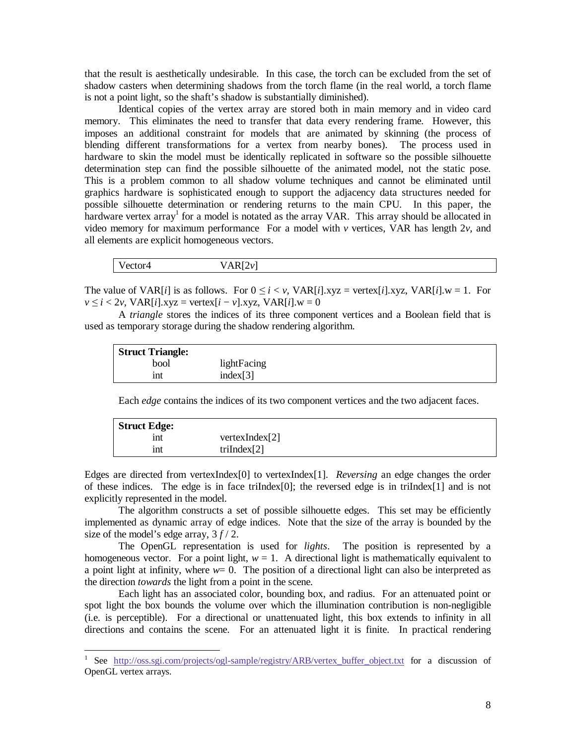that the result is aesthetically undesirable. In this case, the torch can be excluded from the set of shadow casters when determining shadows from the torch flame (in the real world, a torch flame is not a point light, so the shaft's shadow is substantially diminished).

Identical copies of the vertex array are stored both in main memory and in video card memory. This eliminates the need to transfer that data every rendering frame. However, this imposes an additional constraint for models that are animated by skinning (the process of blending different transformations for a vertex from nearby bones). The process used in hardware to skin the model must be identically replicated in software so the possible silhouette determination step can find the possible silhouette of the animated model, not the static pose. This is a problem common to all shadow volume techniques and cannot be eliminated until graphics hardware is sophisticated enough to support the adjacency data structures needed for possible silhouette determination or rendering returns to the main CPU. In this paper, the hardware vertex array<sup>1</sup> for a model is notated as the array VAR. This array should be allocated in video memory for maximum performance For a model with *v* vertices, VAR has length 2*v*, and all elements are explicit homogeneous vectors.

| Vector4 | VAR[2v] |  |  |  |
|---------|---------|--|--|--|
|---------|---------|--|--|--|

The value of  $VAR[i]$  is as follows. For  $0 \le i < v$ ,  $VAR[i]$ .xyz = vertex[*i*].xyz,  $VAR[i]$ .w = 1. For  $v \le i < 2v$ , VAR[*i*].xyz = vertex[*i* – *v*].xyz, VAR[*i*].w = 0

A *triangle* stores the indices of its three component vertices and a Boolean field that is used as temporary storage during the shadow rendering algorithm.

| <b>Struct Triangle:</b> |             |  |
|-------------------------|-------------|--|
| bool                    | lightFacing |  |
| 1nt                     | index $[3]$ |  |

Each *edge* contains the indices of its two component vertices and the two adjacent faces.

| <b>Struct Edge:</b> |                   |  |
|---------------------|-------------------|--|
| ınt                 | vertexIndex $[2]$ |  |
| ınt                 | triIndex $[2]$    |  |

Edges are directed from vertexIndex[0] to vertexIndex[1]. *Reversing* an edge changes the order of these indices. The edge is in face triIndex[0]; the reversed edge is in triIndex[1] and is not explicitly represented in the model.

The algorithm constructs a set of possible silhouette edges. This set may be efficiently implemented as dynamic array of edge indices. Note that the size of the array is bounded by the size of the model's edge array, 3 *f* / 2.

The OpenGL representation is used for *lights*. The position is represented by a homogeneous vector. For a point light,  $w = 1$ . A directional light is mathematically equivalent to a point light at infinity, where  $w=0$ . The position of a directional light can also be interpreted as the direction *towards* the light from a point in the scene.

Each light has an associated color, bounding box, and radius. For an attenuated point or spot light the box bounds the volume over which the illumination contribution is non-negligible (i.e. is perceptible). For a directional or unattenuated light, this box extends to infinity in all directions and contains the scene. For an attenuated light it is finite. In practical rendering

<sup>1</sup> See http://oss.sgi.com/projects/ogl-sample/registry/ARB/vertex buffer object.txt for a discussion of OpenGL vertex arrays.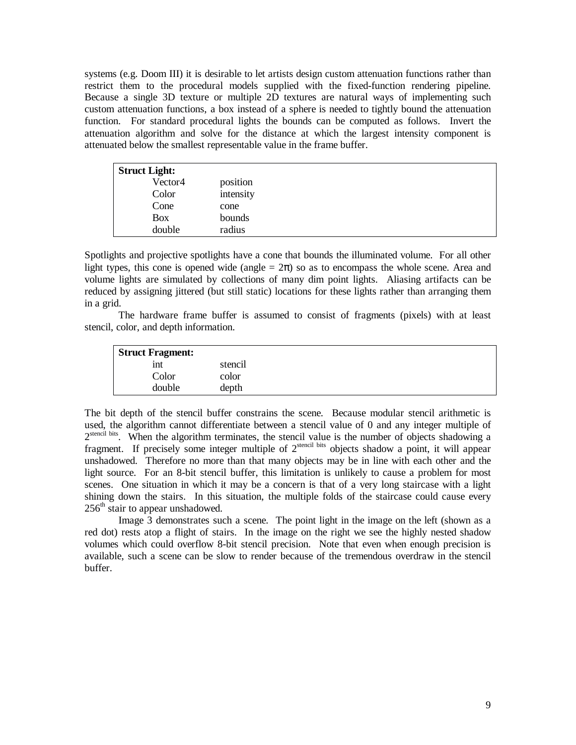systems (e.g. Doom III) it is desirable to let artists design custom attenuation functions rather than restrict them to the procedural models supplied with the fixed-function rendering pipeline. Because a single 3D texture or multiple 2D textures are natural ways of implementing such custom attenuation functions, a box instead of a sphere is needed to tightly bound the attenuation function. For standard procedural lights the bounds can be computed as follows. Invert the attenuation algorithm and solve for the distance at which the largest intensity component is attenuated below the smallest representable value in the frame buffer.

| <b>Struct Light:</b> |           |
|----------------------|-----------|
| Vector4              | position  |
| Color                | intensity |
| Cone                 | cone      |
| Box                  | bounds    |
| double               | radius    |

Spotlights and projective spotlights have a cone that bounds the illuminated volume. For all other light types, this cone is opened wide (angle  $= 2\pi$ ) so as to encompass the whole scene. Area and volume lights are simulated by collections of many dim point lights. Aliasing artifacts can be reduced by assigning jittered (but still static) locations for these lights rather than arranging them in a grid.

The hardware frame buffer is assumed to consist of fragments (pixels) with at least stencil, color, and depth information.

| <b>Struct Fragment:</b> |         |  |
|-------------------------|---------|--|
| ınt                     | stencil |  |
| Color                   | color   |  |
| double                  | depth   |  |

The bit depth of the stencil buffer constrains the scene. Because modular stencil arithmetic is used, the algorithm cannot differentiate between a stencil value of 0 and any integer multiple of 2<sup>stencil bits</sup>. When the algorithm terminates, the stencil value is the number of objects shadowing a fragment. If precisely some integer multiple of 2<sup>stencil bits</sup> objects shadow a point, it will appear unshadowed. Therefore no more than that many objects may be in line with each other and the light source. For an 8-bit stencil buffer, this limitation is unlikely to cause a problem for most scenes. One situation in which it may be a concern is that of a very long staircase with a light shining down the stairs. In this situation, the multiple folds of the staircase could cause every 256<sup>th</sup> stair to appear unshadowed.

Image 3 demonstrates such a scene. The point light in the image on the left (shown as a red dot) rests atop a flight of stairs. In the image on the right we see the highly nested shadow volumes which could overflow 8-bit stencil precision. Note that even when enough precision is available, such a scene can be slow to render because of the tremendous overdraw in the stencil buffer.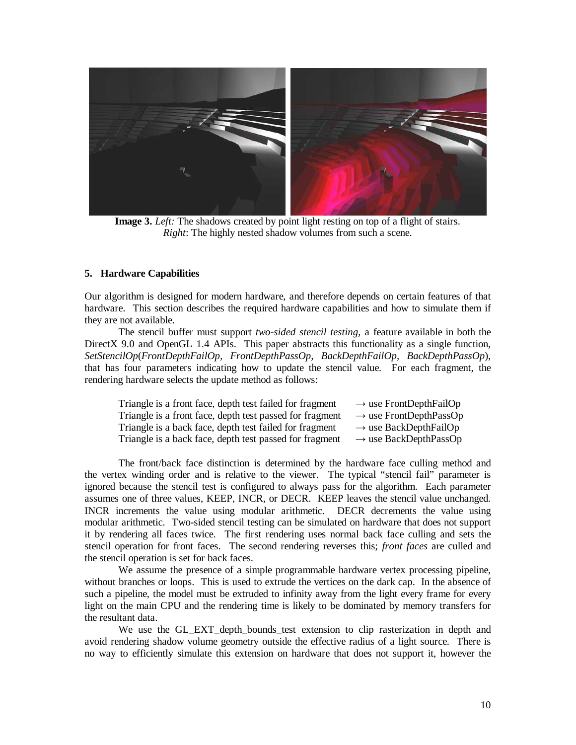

**Image 3.** *Left:* The shadows created by point light resting on top of a flight of stairs. *Right*: The highly nested shadow volumes from such a scene.

### **5. Hardware Capabilities**

Our algorithm is designed for modern hardware, and therefore depends on certain features of that hardware. This section describes the required hardware capabilities and how to simulate them if they are not available.

The stencil buffer must support *two-sided stencil testing*, a feature available in both the DirectX 9.0 and OpenGL 1.4 APIs. This paper abstracts this functionality as a single function, *SetStencilOp*(*FrontDepthFailOp, FrontDepthPassOp, BackDepthFailOp, BackDepthPassOp*), that has four parameters indicating how to update the stencil value. For each fragment, the rendering hardware selects the update method as follows:

| Triangle is a front face, depth test failed for fragment | $\rightarrow$ use FrontDepthFailOp |
|----------------------------------------------------------|------------------------------------|
| Triangle is a front face, depth test passed for fragment | $\rightarrow$ use FrontDepthPassOp |
| Triangle is a back face, depth test failed for fragment  | $\rightarrow$ use BackDepthFailOp  |
| Triangle is a back face, depth test passed for fragment  | $\rightarrow$ use BackDepthPassOp  |

The front/back face distinction is determined by the hardware face culling method and the vertex winding order and is relative to the viewer. The typical "stencil fail" parameter is ignored because the stencil test is configured to always pass for the algorithm. Each parameter assumes one of three values, KEEP, INCR, or DECR. KEEP leaves the stencil value unchanged. INCR increments the value using modular arithmetic. DECR decrements the value using modular arithmetic. Two-sided stencil testing can be simulated on hardware that does not support it by rendering all faces twice. The first rendering uses normal back face culling and sets the stencil operation for front faces. The second rendering reverses this; *front faces* are culled and the stencil operation is set for back faces.

We assume the presence of a simple programmable hardware vertex processing pipeline, without branches or loops. This is used to extrude the vertices on the dark cap. In the absence of such a pipeline, the model must be extruded to infinity away from the light every frame for every light on the main CPU and the rendering time is likely to be dominated by memory transfers for the resultant data.

We use the GL\_EXT\_depth\_bounds\_test extension to clip rasterization in depth and avoid rendering shadow volume geometry outside the effective radius of a light source. There is no way to efficiently simulate this extension on hardware that does not support it, however the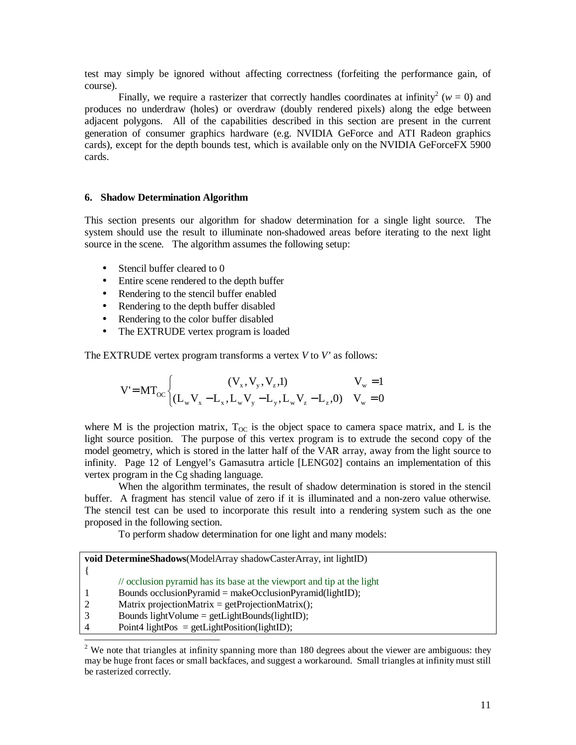test may simply be ignored without affecting correctness (forfeiting the performance gain, of course).

Finally, we require a rasterizer that correctly handles coordinates at infinity<sup>2</sup> ( $w = 0$ ) and produces no underdraw (holes) or overdraw (doubly rendered pixels) along the edge between adjacent polygons. All of the capabilities described in this section are present in the current generation of consumer graphics hardware (e.g. NVIDIA GeForce and ATI Radeon graphics cards), except for the depth bounds test, which is available only on the NVIDIA GeForceFX 5900 cards.

### **6. Shadow Determination Algorithm**

This section presents our algorithm for shadow determination for a single light source. The system should use the result to illuminate non-shadowed areas before iterating to the next light source in the scene. The algorithm assumes the following setup:

- Stencil buffer cleared to 0
- Entire scene rendered to the depth buffer
- Rendering to the stencil buffer enabled
- Rendering to the depth buffer disabled
- Rendering to the color buffer disabled
- The EXTRUDE vertex program is loaded

The EXTRUDE vertex program transforms a vertex *V* to *V'* as follows:

$$
V' = MT_{OC} \begin{cases} (V_x, V_y, V_z, 1) & V_w = 1 \\ (L_w V_x - L_x, L_w V_y - L_y, L_w V_z - L_z, 0) & V_w = 0 \end{cases}
$$

where M is the projection matrix,  $T_{OC}$  is the object space to camera space matrix, and L is the light source position. The purpose of this vertex program is to extrude the second copy of the model geometry, which is stored in the latter half of the VAR array, away from the light source to infinity. Page 12 of Lengyel's Gamasutra article [LENG02] contains an implementation of this vertex program in the Cg shading language.

When the algorithm terminates, the result of shadow determination is stored in the stencil buffer. A fragment has stencil value of zero if it is illuminated and a non-zero value otherwise. The stencil test can be used to incorporate this result into a rendering system such as the one proposed in the following section.

To perform shadow determination for one light and many models:

| <b>void DetermineShadows</b> (ModelArray shadowCasterArray, int lightID) |                                                                        |  |
|--------------------------------------------------------------------------|------------------------------------------------------------------------|--|
|                                                                          |                                                                        |  |
|                                                                          | // occlusion pyramid has its base at the viewport and tip at the light |  |
|                                                                          | Bounds occlusionPyramid = makeOcclusionPyramid(lightID);               |  |
| 2                                                                        | Matrix projectionMatrix = $getProjectionMatrix$ ;                      |  |
| 3                                                                        | Bounds lightVolume = $getLightBounds(lightID);$                        |  |
| $\overline{4}$                                                           | Point4 lightPos = $getLightPosition(lightID);$                         |  |

 $2$  We note that triangles at infinity spanning more than 180 degrees about the viewer are ambiguous: they may be huge front faces or small backfaces, and suggest a workaround. Small triangles at infinity must still be rasterized correctly.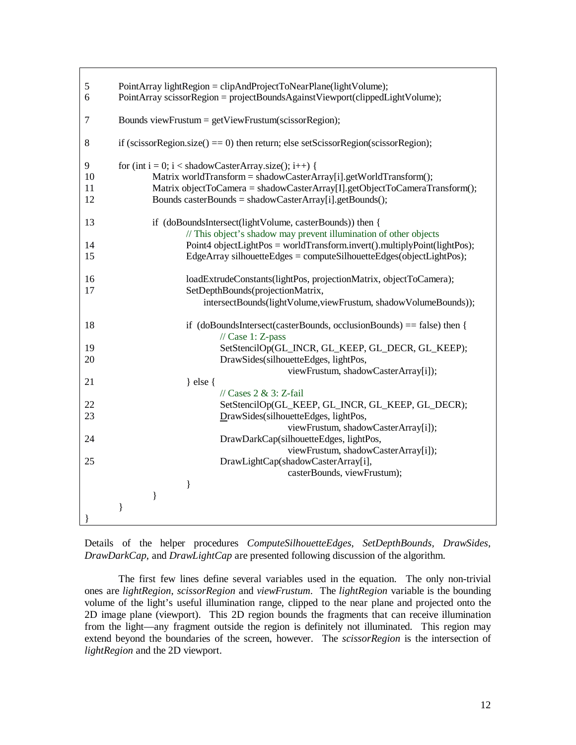| 5<br>6              | PointArray lightRegion = clipAndProjectToNearPlane(lightVolume);<br>PointArray scissorRegion = projectBoundsAgainstViewport(clippedLightVolume);                                                                                                                   |
|---------------------|--------------------------------------------------------------------------------------------------------------------------------------------------------------------------------------------------------------------------------------------------------------------|
| 7                   | Bounds viewFrustum = getViewFrustum(scissorRegion);                                                                                                                                                                                                                |
| 8                   | if (scissor Region.size() = $=$ 0) then return; else set Scissor Region(scissor Region);                                                                                                                                                                           |
| 9<br>10<br>11<br>12 | for (int i = 0; i < shadowCasterArray.size(); i++) {<br>Matrix worldTransform = shadowCasterArray[i].getWorldTransform();<br>Matrix objectToCamera = shadowCasterArray[I].getObjectToCameraTransform();<br>Bounds casterBounds = shadowCasterArray[i].getBounds(); |
| 13                  | if (doBoundsIntersect(lightVolume, casterBounds)) then {                                                                                                                                                                                                           |
| 14<br>15            | // This object's shadow may prevent illumination of other objects<br>Point4 objectLightPos = worldTransform.invert().multiplyPoint(lightPos);<br>EdgeArray silhouetteEdges = computeSilhouetteEdges(objectLightPos);                                               |
| 16<br>17            | loadExtrudeConstants(lightPos, projectionMatrix, objectToCamera);<br>SetDepthBounds(projectionMatrix,<br>intersectBounds(lightVolume, viewFrustum, shadowVolumeBounds));                                                                                           |
| 18                  | if (doBoundsIntersect(casterBounds, occlusionBounds) == false) then {                                                                                                                                                                                              |
| 19<br>20            | $\frac{1}{2}$ Case 1: Z-pass<br>SetStencilOp(GL_INCR, GL_KEEP, GL_DECR, GL_KEEP);<br>DrawSides(silhouetteEdges, lightPos,<br>viewFrustum, shadowCasterArray[i]);                                                                                                   |
| 21                  | } else $\{$                                                                                                                                                                                                                                                        |
| 22<br>23            | // Cases $2 & 3$ : Z-fail<br>SetStencilOp(GL_KEEP, GL_INCR, GL_KEEP, GL_DECR);<br>DrawSides(silhouetteEdges, lightPos,                                                                                                                                             |
|                     | viewFrustum, shadowCasterArray[i]);                                                                                                                                                                                                                                |
| 24                  | DrawDarkCap(silhouetteEdges, lightPos,<br>viewFrustum, shadowCasterArray[i]);                                                                                                                                                                                      |
| 25                  | DrawLightCap(shadowCasterArray[i],<br>casterBounds, viewFrustum);                                                                                                                                                                                                  |
|                     | }<br>}                                                                                                                                                                                                                                                             |
|                     | }                                                                                                                                                                                                                                                                  |

Details of the helper procedures *ComputeSilhouetteEdges*, *SetDepthBounds, DrawSides*, *DrawDarkCap*, and *DrawLightCap* are presented following discussion of the algorithm.

The first few lines define several variables used in the equation. The only non-trivial ones are *lightRegion*, *scissorRegion* and *viewFrustum*. The *lightRegion* variable is the bounding volume of the light's useful illumination range, clipped to the near plane and projected onto the 2D image plane (viewport). This 2D region bounds the fragments that can receive illumination from the light—any fragment outside the region is definitely not illuminated. This region may extend beyond the boundaries of the screen, however. The *scissorRegion* is the intersection of *lightRegion* and the 2D viewport.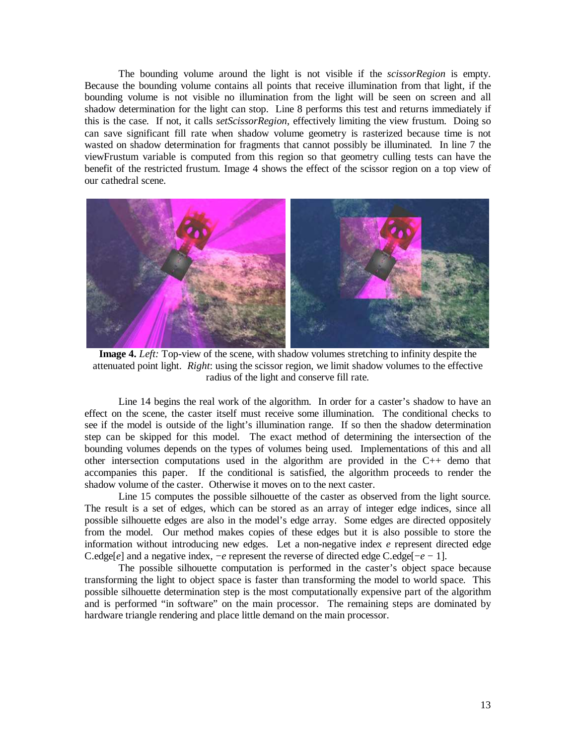The bounding volume around the light is not visible if the *scissorRegion* is empty. Because the bounding volume contains all points that receive illumination from that light, if the bounding volume is not visible no illumination from the light will be seen on screen and all shadow determination for the light can stop. Line 8 performs this test and returns immediately if this is the case. If not, it calls *setScissorRegion*, effectively limiting the view frustum. Doing so can save significant fill rate when shadow volume geometry is rasterized because time is not wasted on shadow determination for fragments that cannot possibly be illuminated. In line 7 the viewFrustum variable is computed from this region so that geometry culling tests can have the benefit of the restricted frustum. Image 4 shows the effect of the scissor region on a top view of our cathedral scene.



**Image 4.** *Left:* Top-view of the scene, with shadow volumes stretching to infinity despite the attenuated point light. *Right*: using the scissor region, we limit shadow volumes to the effective radius of the light and conserve fill rate.

Line 14 begins the real work of the algorithm. In order for a caster's shadow to have an effect on the scene, the caster itself must receive some illumination. The conditional checks to see if the model is outside of the light's illumination range. If so then the shadow determination step can be skipped for this model. The exact method of determining the intersection of the bounding volumes depends on the types of volumes being used. Implementations of this and all other intersection computations used in the algorithm are provided in the C++ demo that accompanies this paper. If the conditional is satisfied, the algorithm proceeds to render the shadow volume of the caster. Otherwise it moves on to the next caster.

Line 15 computes the possible silhouette of the caster as observed from the light source. The result is a set of edges, which can be stored as an array of integer edge indices, since all possible silhouette edges are also in the model's edge array. Some edges are directed oppositely from the model. Our method makes copies of these edges but it is also possible to store the information without introducing new edges. Let a non-negative index *e* represent directed edge C.edge[ $e$ ] and a negative index,  $-e$  represent the reverse of directed edge C.edge[ $-e-1$ ].

The possible silhouette computation is performed in the caster's object space because transforming the light to object space is faster than transforming the model to world space. This possible silhouette determination step is the most computationally expensive part of the algorithm and is performed "in software" on the main processor. The remaining steps are dominated by hardware triangle rendering and place little demand on the main processor.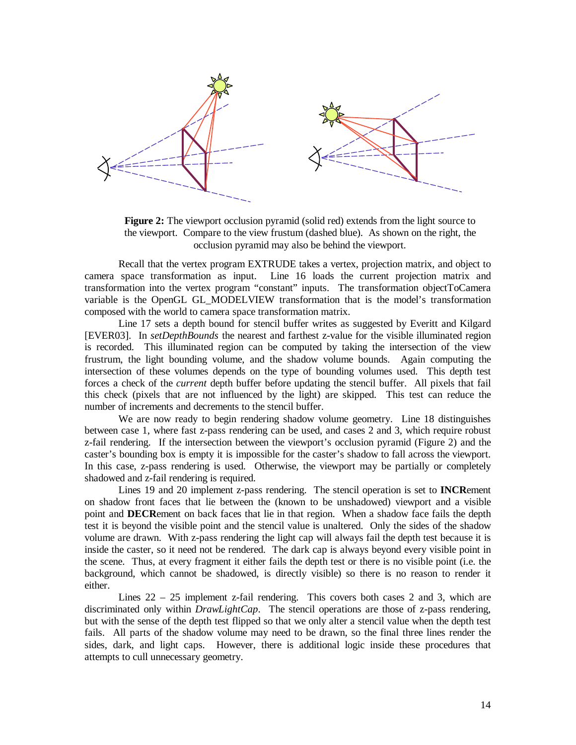

**Figure 2:** The viewport occlusion pyramid (solid red) extends from the light source to the viewport. Compare to the view frustum (dashed blue). As shown on the right, the occlusion pyramid may also be behind the viewport.

Recall that the vertex program EXTRUDE takes a vertex, projection matrix, and object to camera space transformation as input. Line 16 loads the current projection matrix and transformation into the vertex program "constant" inputs. The transformation objectToCamera variable is the OpenGL GL\_MODELVIEW transformation that is the model's transformation composed with the world to camera space transformation matrix.

Line 17 sets a depth bound for stencil buffer writes as suggested by Everitt and Kilgard [EVER03]. In *setDepthBounds* the nearest and farthest z-value for the visible illuminated region is recorded. This illuminated region can be computed by taking the intersection of the view frustrum, the light bounding volume, and the shadow volume bounds. Again computing the intersection of these volumes depends on the type of bounding volumes used. This depth test forces a check of the *current* depth buffer before updating the stencil buffer. All pixels that fail this check (pixels that are not influenced by the light) are skipped. This test can reduce the number of increments and decrements to the stencil buffer.

We are now ready to begin rendering shadow volume geometry. Line 18 distinguishes between case 1, where fast z-pass rendering can be used, and cases 2 and 3, which require robust z-fail rendering. If the intersection between the viewport's occlusion pyramid (Figure 2) and the caster's bounding box is empty it is impossible for the caster's shadow to fall across the viewport. In this case, z-pass rendering is used. Otherwise, the viewport may be partially or completely shadowed and z-fail rendering is required.

Lines 19 and 20 implement z-pass rendering. The stencil operation is set to **INCR**ement on shadow front faces that lie between the (known to be unshadowed) viewport and a visible point and **DECR**ement on back faces that lie in that region. When a shadow face fails the depth test it is beyond the visible point and the stencil value is unaltered. Only the sides of the shadow volume are drawn. With z-pass rendering the light cap will always fail the depth test because it is inside the caster, so it need not be rendered. The dark cap is always beyond every visible point in the scene. Thus, at every fragment it either fails the depth test or there is no visible point (i.e. the background, which cannot be shadowed, is directly visible) so there is no reason to render it either.

Lines 22 – 25 implement z-fail rendering. This covers both cases 2 and 3, which are discriminated only within *DrawLightCap*. The stencil operations are those of z-pass rendering, but with the sense of the depth test flipped so that we only alter a stencil value when the depth test fails. All parts of the shadow volume may need to be drawn, so the final three lines render the sides, dark, and light caps. However, there is additional logic inside these procedures that attempts to cull unnecessary geometry.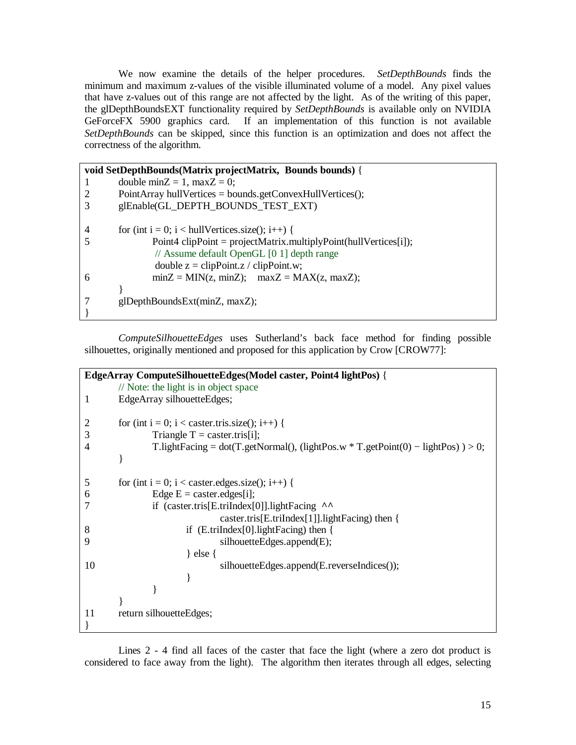We now examine the details of the helper procedures. *SetDepthBounds* finds the minimum and maximum z-values of the visible illuminated volume of a model. Any pixel values that have z-values out of this range are not affected by the light. As of the writing of this paper, the glDepthBoundsEXT functionality required by *SetDepthBounds* is available only on NVIDIA GeForceFX 5900 graphics card. If an implementation of this function is not available *SetDepthBounds* can be skipped, since this function is an optimization and does not affect the correctness of the algorithm.

**void SetDepthBounds(Matrix projectMatrix, Bounds bounds)** { 1 double minZ = 1, maxZ = 0;<br>2 PointArray hullVertices = bo  $PointArray \, hullVert. = bounds.getConvexHullVert.$ 3 glEnable(GL\_DEPTH\_BOUNDS\_TEST\_EXT) 4 for (int i = 0; i < hullVertices.size(); i++) {  $5$  Point4 clipPoint = projectMatrix.multiplyPoint(hullVertices[i]); // Assume default OpenGL [0 1] depth range double  $z = \text{clipPoint}.z / \text{clipPoint}.w$ ; 6 minZ = MIN(z, minZ); maxZ = MAX(z, maxZ); } 7 glDepthBoundsExt(minZ, maxZ); }

*ComputeSilhouetteEdges* uses Sutherland's back face method for finding possible silhouettes, originally mentioned and proposed for this application by Crow [CROW77]:

```
EdgeArray ComputeSilhouetteEdges(Model caster, Point4 lightPos) {
       // Note: the light is in object space
1 EdgeArray silhouetteEdges;
2 for (int i = 0; i < caster.tris.size(); i++) {
3 Triangle T = caster.tris[i];<br>4 T.lightFacing = dot(T.get)
              T.lightFacing = dot(T.getNormal(), (lightPos.w * T.getPoint(0) – lightPos) ) > 0;
       }
5 for (int i = 0; i < caster.edges.size(); i++) {
6 Edge E = \text{caster}.\text{edges}[i];7 if (caster.tris[E.triIndex[0]].lightFacing ^^
                             caster.tris[E.triIndex[1]].lightFacing) then {
8 if (E.triIndex[0].lightFacing) then {
9 silhouetteEdges.append(E);
                     } else {
10 silhouetteEdges.append(E.reverseIndices());
                     }
              }
       }
11 return silhouetteEdges;
}
```
Lines 2 - 4 find all faces of the caster that face the light (where a zero dot product is considered to face away from the light). The algorithm then iterates through all edges, selecting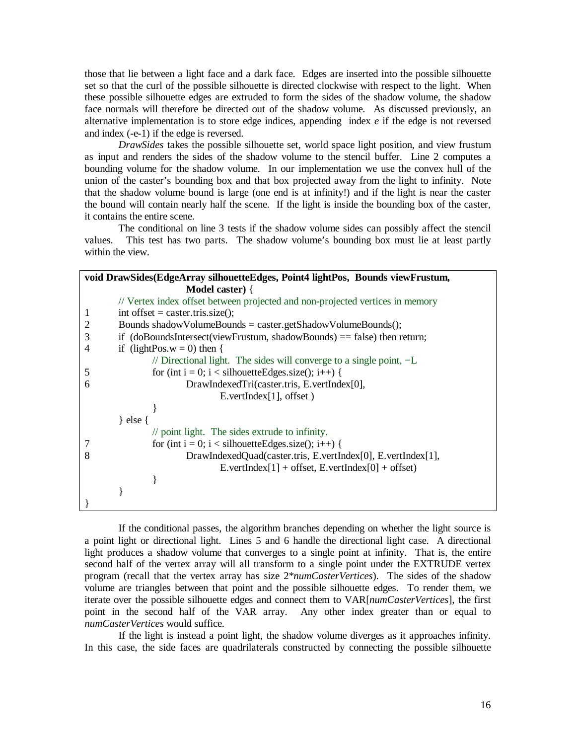those that lie between a light face and a dark face. Edges are inserted into the possible silhouette set so that the curl of the possible silhouette is directed clockwise with respect to the light. When these possible silhouette edges are extruded to form the sides of the shadow volume, the shadow face normals will therefore be directed out of the shadow volume. As discussed previously, an alternative implementation is to store edge indices, appending index *e* if the edge is not reversed and index (-e-1) if the edge is reversed.

*DrawSides* takes the possible silhouette set, world space light position, and view frustum as input and renders the sides of the shadow volume to the stencil buffer. Line 2 computes a bounding volume for the shadow volume. In our implementation we use the convex hull of the union of the caster's bounding box and that box projected away from the light to infinity. Note that the shadow volume bound is large (one end is at infinity!) and if the light is near the caster the bound will contain nearly half the scene. If the light is inside the bounding box of the caster, it contains the entire scene.

The conditional on line 3 tests if the shadow volume sides can possibly affect the stencil values. This test has two parts. The shadow volume's bounding box must lie at least partly within the view.

| void DrawSides (EdgeArray silhouetteEdges, Point4 lightPos, Bounds viewFrustum, |                                                                               |  |  |
|---------------------------------------------------------------------------------|-------------------------------------------------------------------------------|--|--|
|                                                                                 | <b>Model caster</b> ) {                                                       |  |  |
|                                                                                 | // Vertex index offset between projected and non-projected vertices in memory |  |  |
| 1                                                                               | int offset = caster.tris.size();                                              |  |  |
| 2                                                                               | Bounds shadowVolumeBounds = caster.getShadowVolumeBounds();                   |  |  |
| 3                                                                               | if $(d$ oBoundsIntersect(viewFrustum, shadowBounds) == false) then return;    |  |  |
| 4                                                                               | if (lightPos.w = 0) then {                                                    |  |  |
|                                                                                 | // Directional light. The sides will converge to a single point, $-L$         |  |  |
| 5                                                                               | for (int i = 0; i < silhouetteEdges.size(); i++) {                            |  |  |
| 6                                                                               | DrawIndexedTri(caster.tris, E.vertIndex[0],                                   |  |  |
|                                                                                 | $E$ vertIndex[1], offset)                                                     |  |  |
|                                                                                 |                                                                               |  |  |
|                                                                                 | $\}$ else $\{$                                                                |  |  |
|                                                                                 | // point light. The sides extrude to infinity.                                |  |  |
|                                                                                 | for (int i = 0; i < silhouetteEdges.size(); i++) {                            |  |  |
| 8                                                                               | DrawIndexedQuad(caster.tris, E.vertIndex[0], E.vertIndex[1],                  |  |  |
|                                                                                 | $EvertIndex[1] + offset, EvertIndex[0] + offset)$                             |  |  |
|                                                                                 |                                                                               |  |  |
|                                                                                 |                                                                               |  |  |
|                                                                                 |                                                                               |  |  |

If the conditional passes, the algorithm branches depending on whether the light source is a point light or directional light. Lines 5 and 6 handle the directional light case. A directional light produces a shadow volume that converges to a single point at infinity. That is, the entire second half of the vertex array will all transform to a single point under the EXTRUDE vertex program (recall that the vertex array has size 2\**numCasterVertices*). The sides of the shadow volume are triangles between that point and the possible silhouette edges. To render them, we iterate over the possible silhouette edges and connect them to VAR[*numCasterVertices*], the first point in the second half of the VAR array. Any other index greater than or equal to *numCasterVertices* would suffice.

If the light is instead a point light, the shadow volume diverges as it approaches infinity. In this case, the side faces are quadrilaterals constructed by connecting the possible silhouette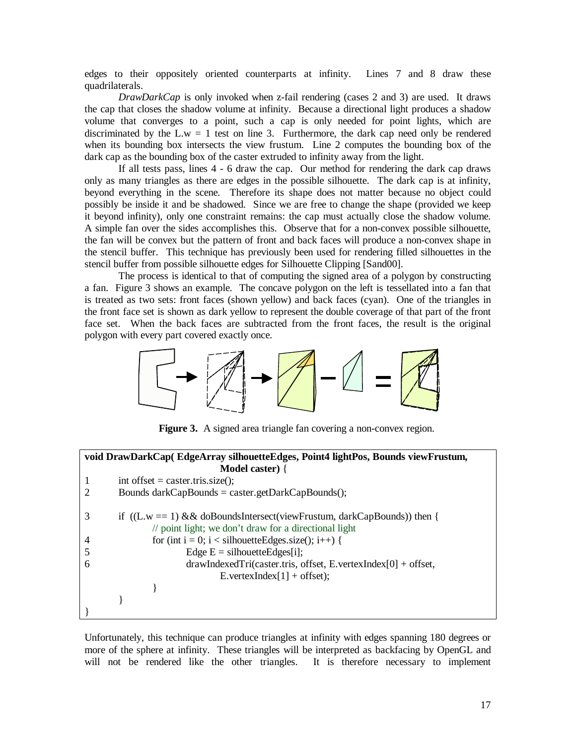edges to their oppositely oriented counterparts at infinity. Lines 7 and 8 draw these quadrilaterals.

*DrawDarkCap* is only invoked when z-fail rendering (cases 2 and 3) are used. It draws the cap that closes the shadow volume at infinity. Because a directional light produces a shadow volume that converges to a point, such a cap is only needed for point lights, which are discriminated by the L.w  $= 1$  test on line 3. Furthermore, the dark cap need only be rendered when its bounding box intersects the view frustum. Line 2 computes the bounding box of the dark cap as the bounding box of the caster extruded to infinity away from the light.

If all tests pass, lines 4 - 6 draw the cap. Our method for rendering the dark cap draws only as many triangles as there are edges in the possible silhouette. The dark cap is at infinity, beyond everything in the scene. Therefore its shape does not matter because no object could possibly be inside it and be shadowed. Since we are free to change the shape (provided we keep it beyond infinity), only one constraint remains: the cap must actually close the shadow volume. A simple fan over the sides accomplishes this. Observe that for a non-convex possible silhouette, the fan will be convex but the pattern of front and back faces will produce a non-convex shape in the stencil buffer. This technique has previously been used for rendering filled silhouettes in the stencil buffer from possible silhouette edges for Silhouette Clipping [Sand00].

The process is identical to that of computing the signed area of a polygon by constructing a fan. Figure 3 shows an example. The concave polygon on the left is tessellated into a fan that is treated as two sets: front faces (shown yellow) and back faces (cyan). One of the triangles in the front face set is shown as dark yellow to represent the double coverage of that part of the front face set. When the back faces are subtracted from the front faces, the result is the original polygon with every part covered exactly once.



**Figure 3.** A signed area triangle fan covering a non-convex region.

**void DrawDarkCap( EdgeArray silhouetteEdges, Point4 lightPos, Bounds viewFrustum, Model caster)** { 1 int offset = caster.tris.size();  $2$  Bounds darkCapBounds = caster.getDarkCapBounds(); 3 if  $((L.w == 1) && doBoundsIntersect(viewFrustum, darkCapBounds))$  then { // point light; we don't draw for a directional light 4 for (int i = 0; i < silhouetteEdges.size(); i++) {  $5 \qquad \qquad \text{Edge E = silhouetteEdges[i];}$ 6 drawIndexedTri(caster.tris, offset, E.vertexIndex[0] + offset, E.vertexIndex $[1]$  + offset); } } }

Unfortunately, this technique can produce triangles at infinity with edges spanning 180 degrees or more of the sphere at infinity. These triangles will be interpreted as backfacing by OpenGL and will not be rendered like the other triangles. It is therefore necessary to implement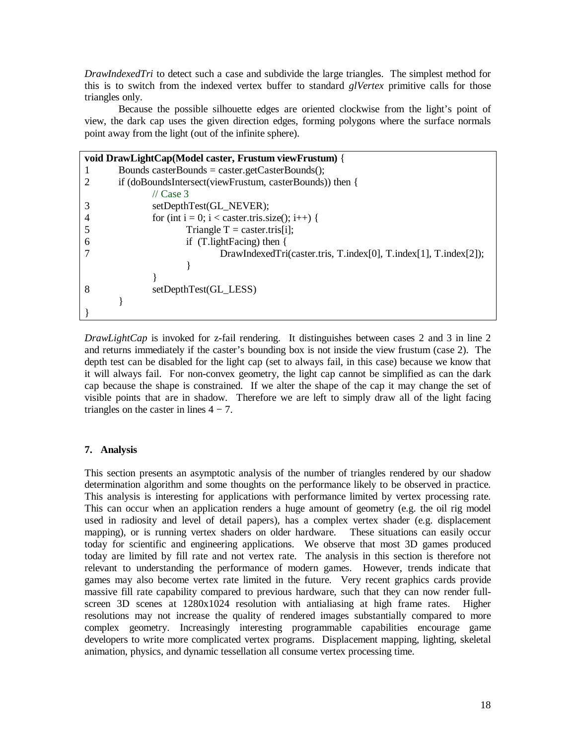*DrawIndexedTri* to detect such a case and subdivide the large triangles. The simplest method for this is to switch from the indexed vertex buffer to standard *glVertex* primitive calls for those triangles only.

Because the possible silhouette edges are oriented clockwise from the light's point of view, the dark cap uses the given direction edges, forming polygons where the surface normals point away from the light (out of the infinite sphere).

|                | void DrawLightCap(Model caster, Frustum viewFrustum) {             |
|----------------|--------------------------------------------------------------------|
|                | Bounds casterBounds = caster.getCasterBounds();                    |
|                | if (doBoundsIntersect(viewFrustum, casterBounds)) then {           |
|                | // $Case 3$                                                        |
| 3              | setDepthTest(GL_NEVER);                                            |
| $\overline{4}$ | for (int i = 0; i < caster.tris.size(); i++) {                     |
|                | Triangle $T = \text{caster.tris}[i];$                              |
| 6              | if $(T\text{.lightFacing})$ then {                                 |
|                | $DrawIndexedTri(caster.tris, T.index[0], T.index[1], T.index[2]);$ |
|                |                                                                    |
|                |                                                                    |
| 8              | setDepthTest(GL_LESS)                                              |
|                |                                                                    |
|                |                                                                    |

*DrawLightCap* is invoked for z-fail rendering. It distinguishes between cases 2 and 3 in line 2 and returns immediately if the caster's bounding box is not inside the view frustum (case 2). The depth test can be disabled for the light cap (set to always fail, in this case) because we know that it will always fail. For non-convex geometry, the light cap cannot be simplified as can the dark cap because the shape is constrained. If we alter the shape of the cap it may change the set of visible points that are in shadow. Therefore we are left to simply draw all of the light facing triangles on the caster in lines  $4 - 7$ .

## **7. Analysis**

This section presents an asymptotic analysis of the number of triangles rendered by our shadow determination algorithm and some thoughts on the performance likely to be observed in practice. This analysis is interesting for applications with performance limited by vertex processing rate. This can occur when an application renders a huge amount of geometry (e.g. the oil rig model used in radiosity and level of detail papers), has a complex vertex shader (e.g. displacement mapping), or is running vertex shaders on older hardware. These situations can easily occur today for scientific and engineering applications. We observe that most 3D games produced today are limited by fill rate and not vertex rate. The analysis in this section is therefore not relevant to understanding the performance of modern games. However, trends indicate that games may also become vertex rate limited in the future. Very recent graphics cards provide massive fill rate capability compared to previous hardware, such that they can now render fullscreen 3D scenes at 1280x1024 resolution with antialiasing at high frame rates. Higher resolutions may not increase the quality of rendered images substantially compared to more complex geometry. Increasingly interesting programmable capabilities encourage game developers to write more complicated vertex programs. Displacement mapping, lighting, skeletal animation, physics, and dynamic tessellation all consume vertex processing time.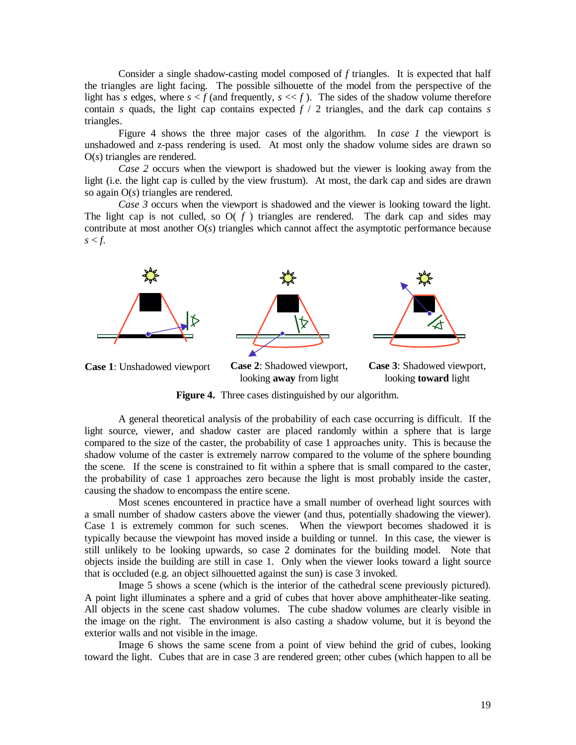Consider a single shadow-casting model composed of *f* triangles. It is expected that half the triangles are light facing. The possible silhouette of the model from the perspective of the light has *s* edges, where  $s < f$  (and frequently,  $s < f$ ). The sides of the shadow volume therefore contain *s* quads, the light cap contains expected  $f / 2$  triangles, and the dark cap contains *s* triangles.

Figure 4 shows the three major cases of the algorithm. In *case 1* the viewport is unshadowed and z-pass rendering is used. At most only the shadow volume sides are drawn so O(*s*) triangles are rendered.

*Case* 2 occurs when the viewport is shadowed but the viewer is looking away from the light (i.e. the light cap is culled by the view frustum). At most, the dark cap and sides are drawn so again O(*s*) triangles are rendered.

*Case* 3 occurs when the viewport is shadowed and the viewer is looking toward the light. The light cap is not culled, so  $O(f)$  triangles are rendered. The dark cap and sides may contribute at most another O(*s*) triangles which cannot affect the asymptotic performance because  $s < f$ .



**Case 1**: Unshadowed viewport **Case 2**: Shadowed viewport, looking **away** from light

**Case 3**: Shadowed viewport, looking **toward** light

**Figure 4.** Three cases distinguished by our algorithm.

A general theoretical analysis of the probability of each case occurring is difficult. If the light source, viewer, and shadow caster are placed randomly within a sphere that is large compared to the size of the caster, the probability of case 1 approaches unity. This is because the shadow volume of the caster is extremely narrow compared to the volume of the sphere bounding the scene. If the scene is constrained to fit within a sphere that is small compared to the caster, the probability of case 1 approaches zero because the light is most probably inside the caster, causing the shadow to encompass the entire scene.

Most scenes encountered in practice have a small number of overhead light sources with a small number of shadow casters above the viewer (and thus, potentially shadowing the viewer). Case 1 is extremely common for such scenes. When the viewport becomes shadowed it is typically because the viewpoint has moved inside a building or tunnel. In this case, the viewer is still unlikely to be looking upwards, so case 2 dominates for the building model. Note that objects inside the building are still in case 1. Only when the viewer looks toward a light source that is occluded (e.g. an object silhouetted against the sun) is case 3 invoked.

Image 5 shows a scene (which is the interior of the cathedral scene previously pictured). A point light illuminates a sphere and a grid of cubes that hover above amphitheater-like seating. All objects in the scene cast shadow volumes. The cube shadow volumes are clearly visible in the image on the right. The environment is also casting a shadow volume, but it is beyond the exterior walls and not visible in the image.

Image 6 shows the same scene from a point of view behind the grid of cubes, looking toward the light. Cubes that are in case 3 are rendered green; other cubes (which happen to all be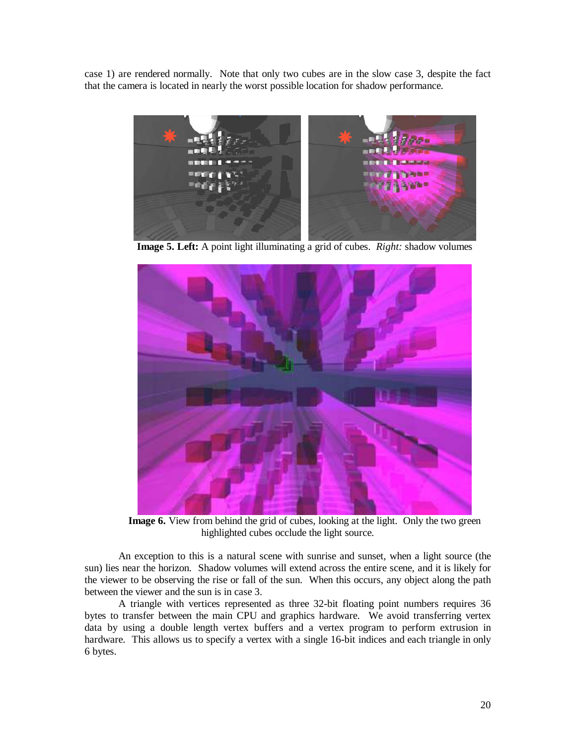case 1) are rendered normally. Note that only two cubes are in the slow case 3, despite the fact that the camera is located in nearly the worst possible location for shadow performance.



**Image 5. Left:** A point light illuminating a grid of cubes. *Right:* shadow volumes



**Image 6.** View from behind the grid of cubes, looking at the light. Only the two green highlighted cubes occlude the light source.

An exception to this is a natural scene with sunrise and sunset, when a light source (the sun) lies near the horizon. Shadow volumes will extend across the entire scene, and it is likely for the viewer to be observing the rise or fall of the sun. When this occurs, any object along the path between the viewer and the sun is in case 3.

A triangle with vertices represented as three 32-bit floating point numbers requires 36 bytes to transfer between the main CPU and graphics hardware. We avoid transferring vertex data by using a double length vertex buffers and a vertex program to perform extrusion in hardware. This allows us to specify a vertex with a single 16-bit indices and each triangle in only 6 bytes.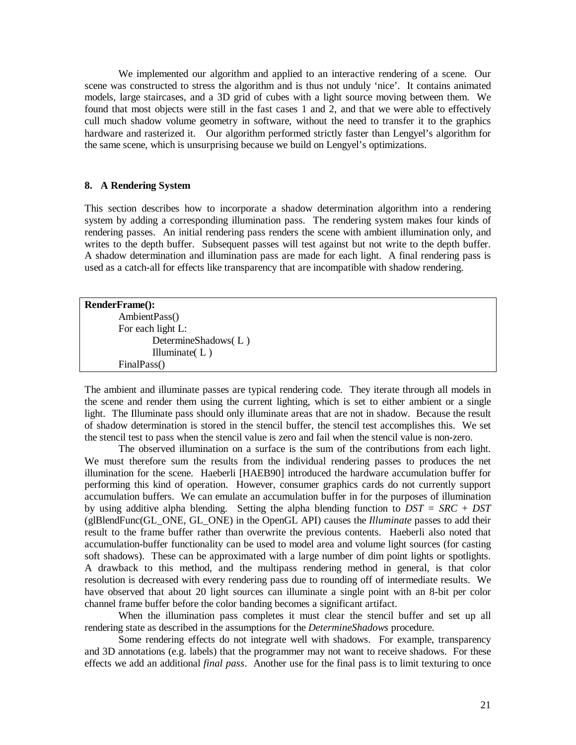We implemented our algorithm and applied to an interactive rendering of a scene. Our scene was constructed to stress the algorithm and is thus not unduly 'nice'. It contains animated models, large staircases, and a 3D grid of cubes with a light source moving between them. We found that most objects were still in the fast cases 1 and 2, and that we were able to effectively cull much shadow volume geometry in software, without the need to transfer it to the graphics hardware and rasterized it. Our algorithm performed strictly faster than Lengyel's algorithm for the same scene, which is unsurprising because we build on Lengyel's optimizations.

# **8. A Rendering System**

This section describes how to incorporate a shadow determination algorithm into a rendering system by adding a corresponding illumination pass. The rendering system makes four kinds of rendering passes. An initial rendering pass renders the scene with ambient illumination only, and writes to the depth buffer. Subsequent passes will test against but not write to the depth buffer. A shadow determination and illumination pass are made for each light. A final rendering pass is used as a catch-all for effects like transparency that are incompatible with shadow rendering.

| <b>RenderFrame():</b> |  |
|-----------------------|--|
| AmbientPass()         |  |
| For each light L:     |  |
| DetermineShadows(L)   |  |
| Illuminate $(L)$      |  |
| FinalPass()           |  |

The ambient and illuminate passes are typical rendering code. They iterate through all models in the scene and render them using the current lighting, which is set to either ambient or a single light. The Illuminate pass should only illuminate areas that are not in shadow. Because the result of shadow determination is stored in the stencil buffer, the stencil test accomplishes this. We set the stencil test to pass when the stencil value is zero and fail when the stencil value is non-zero.

The observed illumination on a surface is the sum of the contributions from each light. We must therefore sum the results from the individual rendering passes to produces the net illumination for the scene. Haeberli [HAEB90] introduced the hardware accumulation buffer for performing this kind of operation. However, consumer graphics cards do not currently support accumulation buffers. We can emulate an accumulation buffer in for the purposes of illumination by using additive alpha blending. Setting the alpha blending function to *DST* = *SRC* + *DST* (glBlendFunc(GL\_ONE, GL\_ONE) in the OpenGL API) causes the *Illuminate* passes to add their result to the frame buffer rather than overwrite the previous contents. Haeberli also noted that accumulation-buffer functionality can be used to model area and volume light sources (for casting soft shadows). These can be approximated with a large number of dim point lights or spotlights. A drawback to this method, and the multipass rendering method in general, is that color resolution is decreased with every rendering pass due to rounding off of intermediate results. We have observed that about 20 light sources can illuminate a single point with an 8-bit per color channel frame buffer before the color banding becomes a significant artifact.

When the illumination pass completes it must clear the stencil buffer and set up all rendering state as described in the assumptions for the *DetermineShadows* procedure.

Some rendering effects do not integrate well with shadows. For example, transparency and 3D annotations (e.g. labels) that the programmer may not want to receive shadows. For these effects we add an additional *final pass*. Another use for the final pass is to limit texturing to once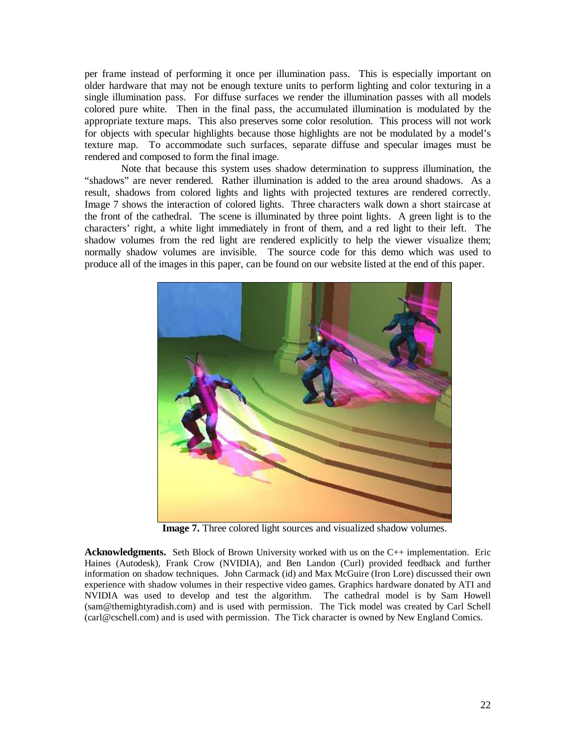per frame instead of performing it once per illumination pass. This is especially important on older hardware that may not be enough texture units to perform lighting and color texturing in a single illumination pass. For diffuse surfaces we render the illumination passes with all models colored pure white. Then in the final pass, the accumulated illumination is modulated by the appropriate texture maps. This also preserves some color resolution. This process will not work for objects with specular highlights because those highlights are not be modulated by a model's texture map. To accommodate such surfaces, separate diffuse and specular images must be rendered and composed to form the final image.

Note that because this system uses shadow determination to suppress illumination, the "shadows" are never rendered. Rather illumination is added to the area around shadows. As a result, shadows from colored lights and lights with projected textures are rendered correctly. Image 7 shows the interaction of colored lights. Three characters walk down a short staircase at the front of the cathedral. The scene is illuminated by three point lights. A green light is to the characters' right, a white light immediately in front of them, and a red light to their left. The shadow volumes from the red light are rendered explicitly to help the viewer visualize them; normally shadow volumes are invisible. The source code for this demo which was used to produce all of the images in this paper, can be found on our website listed at the end of this paper.



**Image 7.** Three colored light sources and visualized shadow volumes.

**Acknowledgments.** Seth Block of Brown University worked with us on the C++ implementation. Eric Haines (Autodesk), Frank Crow (NVIDIA), and Ben Landon (Curl) provided feedback and further information on shadow techniques. John Carmack (id) and Max McGuire (Iron Lore) discussed their own experience with shadow volumes in their respective video games. Graphics hardware donated by ATI and NVIDIA was used to develop and test the algorithm. The cathedral model is by Sam Howell (sam@themightyradish.com) and is used with permission. The Tick model was created by Carl Schell (carl@cschell.com) and is used with permission. The Tick character is owned by New England Comics.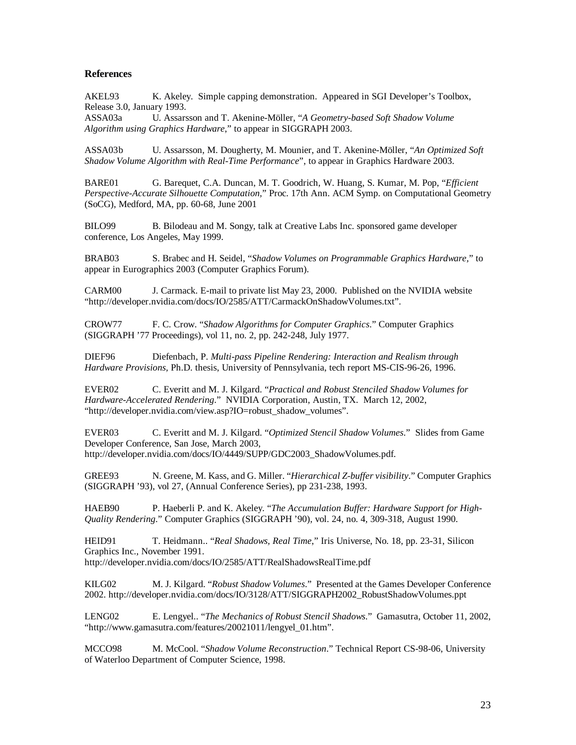## **References**

AKEL93 K. Akeley. Simple capping demonstration. Appeared in SGI Developer's Toolbox, Release 3.0, January 1993.

ASSA03a U. Assarsson and T. Akenine-Möller, "*A Geometry-based Soft Shadow Volume Algorithm using Graphics Hardware*," to appear in SIGGRAPH 2003.

ASSA03b U. Assarsson, M. Dougherty, M. Mounier, and T. Akenine-Möller, "*An Optimized Soft Shadow Volume Algorithm with Real-Time Performance*", to appear in Graphics Hardware 2003.

BARE01 G. Barequet, C.A. Duncan, M. T. Goodrich, W. Huang, S. Kumar, M. Pop, "*Efficient Perspective-Accurate Silhouette Computation,*" Proc. 17th Ann. ACM Symp. on Computational Geometry (SoCG), Medford, MA, pp. 60-68, June 2001

BILO99 B. Bilodeau and M. Songy, talk at Creative Labs Inc. sponsored game developer conference, Los Angeles, May 1999.

BRAB03 S. Brabec and H. Seidel, "*Shadow Volumes on Programmable Graphics Hardware,*" to appear in Eurographics 2003 (Computer Graphics Forum).

CARM00 J. Carmack. E-mail to private list May 23, 2000. Published on the NVIDIA website "http://developer.nvidia.com/docs/IO/2585/ATT/CarmackOnShadowVolumes.txt".

CROW77 F. C. Crow. "*Shadow Algorithms for Computer Graphics*." Computer Graphics (SIGGRAPH '77 Proceedings), vol 11, no. 2, pp. 242-248, July 1977.

DIEF96 Diefenbach, P. *Multi-pass Pipeline Rendering: Interaction and Realism through Hardware Provisions,* Ph.D. thesis, University of Pennsylvania, tech report MS-CIS-96-26, 1996.

EVER02 C. Everitt and M. J. Kilgard. "*Practical and Robust Stenciled Shadow Volumes for Hardware-Accelerated Rendering*." NVIDIA Corporation, Austin, TX. March 12, 2002, "http://developer.nvidia.com/view.asp?IO=robust\_shadow\_volumes".

EVER03 C. Everitt and M. J. Kilgard. "*Optimized Stencil Shadow Volumes*." Slides from Game Developer Conference, San Jose, March 2003, http://developer.nvidia.com/docs/IO/4449/SUPP/GDC2003\_ShadowVolumes.pdf.

GREE93 N. Greene, M. Kass, and G. Miller. "*Hierarchical Z-buffer visibility*." Computer Graphics (SIGGRAPH '93), vol 27, (Annual Conference Series), pp 231-238, 1993.

HAEB90 P. Haeberli P. and K. Akeley. "*The Accumulation Buffer: Hardware Support for High-Quality Rendering*." Computer Graphics (SIGGRAPH '90), vol. 24, no. 4, 309-318, August 1990.

HEID91 T. Heidmann.. "*Real Shadows, Real Time*," Iris Universe, No. 18, pp. 23-31, Silicon Graphics Inc., November 1991.

http://developer.nvidia.com/docs/IO/2585/ATT/RealShadowsRealTime.pdf

KILG02 M. J. Kilgard. "*Robust Shadow Volumes*." Presented at the Games Developer Conference 2002. http://developer.nvidia.com/docs/IO/3128/ATT/SIGGRAPH2002\_RobustShadowVolumes.ppt

LENG02 E. Lengyel.. "*The Mechanics of Robust Stencil Shadows*." Gamasutra, October 11, 2002, "http://www.gamasutra.com/features/20021011/lengyel\_01.htm".

MCCO98 M. McCool. "*Shadow Volume Reconstruction*." Technical Report CS-98-06, University of Waterloo Department of Computer Science, 1998.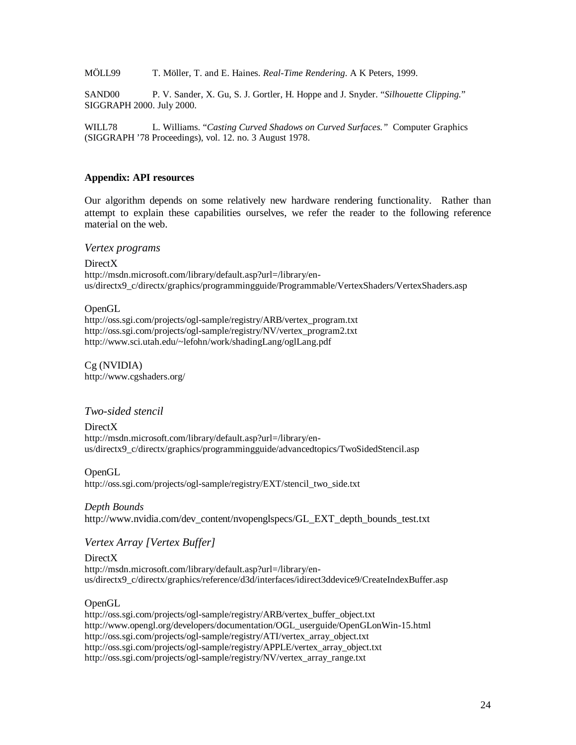MÖLL99 T. Möller, T. and E. Haines. *Real-Time Rendering*. A K Peters, 1999.

SAND00 P. V. Sander, X. Gu, S. J. Gortler, H. Hoppe and J. Snyder. "*Silhouette Clipping.*" SIGGRAPH 2000. July 2000.

WILL78 L. Williams. "*Casting Curved Shadows on Curved Surfaces."* Computer Graphics (SIGGRAPH '78 Proceedings), vol. 12. no. 3 August 1978.

## **Appendix: API resources**

Our algorithm depends on some relatively new hardware rendering functionality. Rather than attempt to explain these capabilities ourselves, we refer the reader to the following reference material on the web.

*Vertex programs*

DirectX http://msdn.microsoft.com/library/default.asp?url=/library/enus/directx9\_c/directx/graphics/programmingguide/Programmable/VertexShaders/VertexShaders.asp

## OpenGL

http://oss.sgi.com/projects/ogl-sample/registry/ARB/vertex\_program.txt http://oss.sgi.com/projects/ogl-sample/registry/NV/vertex\_program2.txt http://www.sci.utah.edu/~lefohn/work/shadingLang/oglLang.pdf

Cg (NVIDIA) http://www.cgshaders.org/

*Two-sided stencil*

DirectX http://msdn.microsoft.com/library/default.asp?url=/library/enus/directx9\_c/directx/graphics/programmingguide/advancedtopics/TwoSidedStencil.asp

**OpenGL** http://oss.sgi.com/projects/ogl-sample/registry/EXT/stencil\_two\_side.txt

*Depth Bounds* http://www.nvidia.com/dev\_content/nvopenglspecs/GL\_EXT\_depth\_bounds\_test.txt

*Vertex Array [Vertex Buffer]*

DirectX http://msdn.microsoft.com/library/default.asp?url=/library/enus/directx9\_c/directx/graphics/reference/d3d/interfaces/idirect3ddevice9/CreateIndexBuffer.asp

## OpenGL

http://oss.sgi.com/projects/ogl-sample/registry/ARB/vertex\_buffer\_object.txt http://www.opengl.org/developers/documentation/OGL\_userguide/OpenGLonWin-15.html http://oss.sgi.com/projects/ogl-sample/registry/ATI/vertex\_array\_object.txt http://oss.sgi.com/projects/ogl-sample/registry/APPLE/vertex\_array\_object.txt http://oss.sgi.com/projects/ogl-sample/registry/NV/vertex\_array\_range.txt